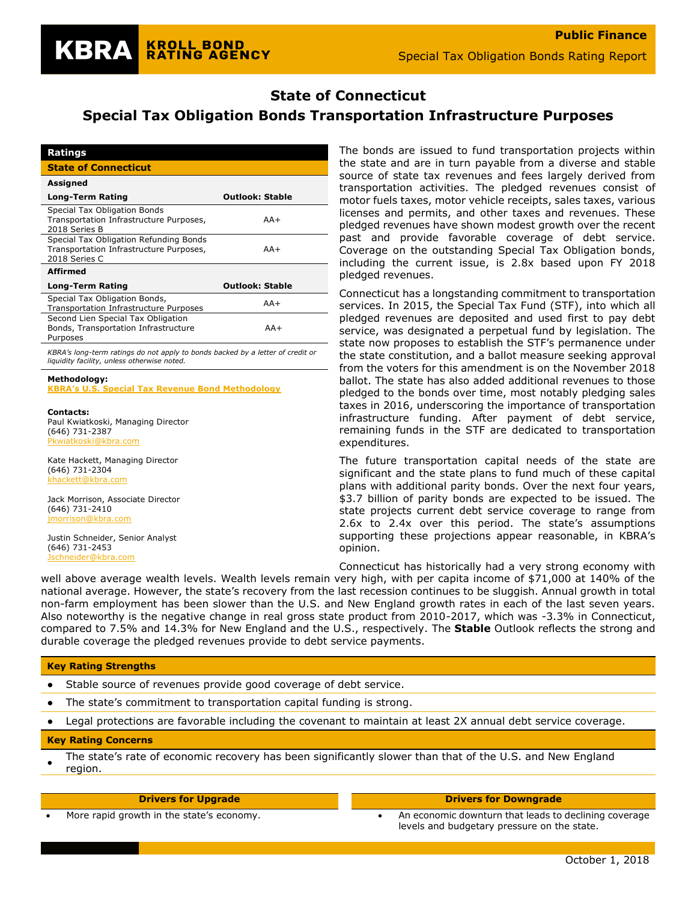#### **State of Connecticut**  $S = \frac{1}{2}$

# **Special Tax Obligation Bonds Transportation Infrastructure Purposes**

| Ratings                                                                                            |                        |
|----------------------------------------------------------------------------------------------------|------------------------|
| <b>State of Connecticut</b>                                                                        |                        |
| <b>Assigned</b>                                                                                    |                        |
| Long-Term Rating                                                                                   | <b>Outlook: Stable</b> |
| Special Tax Obligation Bonds<br>Transportation Infrastructure Purposes,<br>2018 Series B           | $AA+$                  |
| Special Tax Obligation Refunding Bonds<br>Transportation Infrastructure Purposes,<br>2018 Series C | $AA+$                  |
| <b>Affirmed</b>                                                                                    |                        |
| Long-Term Rating                                                                                   | <b>Outlook: Stable</b> |
| Special Tax Obligation Bonds,<br>Transportation Infrastructure Purposes                            | $AA+$                  |
| Second Lien Special Tax Obligation<br>Bonds, Transportation Infrastructure<br>Purposes             | $AA+$                  |

**KROLL BOND** 

**RATING AGENCY** 

*KBRA's long-term ratings do not apply to bonds backed by a letter of credit or liquidity facility, unless otherwise noted.*

#### **Methodology: [KBRA's U.S. Special Tax Revenue Bond Methodology](https://www.krollbondratings.com/show_report/197)**

**Contacts:**

KBRA

Paul Kwiatkoski, Managing Director (646) 731-2387 kbra.com

Kate Hackett, Managing Director (646) 731-2304 [khackett@kbra.com](mailto:khackett@kbra.com)

Jack Morrison, Associate Director (646) 731-2410 [jmorrison@kbra.com](mailto:jmorrison@kbra.com)

Justin Schneider, Senior Analyst (646) 731-2453 eider@kbra.com

The bonds are issued to fund transportation projects within the state and are in turn payable from a diverse and stable source of state tax revenues and fees largely derived from transportation activities. The pledged revenues consist of motor fuels taxes, motor vehicle receipts, sales taxes, various licenses and permits, and other taxes and revenues. These pledged revenues have shown modest growth over the recent past and provide favorable coverage of debt service. Coverage on the outstanding Special Tax Obligation bonds, including the current issue, is 2.8x based upon FY 2018 pledged revenues.

Connecticut has a longstanding commitment to transportation services. In 2015, the Special Tax Fund (STF), into which all pledged revenues are deposited and used first to pay debt service, was designated a perpetual fund by legislation. The state now proposes to establish the STF's permanence under the state constitution, and a ballot measure seeking approval from the voters for this amendment is on the November 2018 ballot. The state has also added additional revenues to those pledged to the bonds over time, most notably pledging sales taxes in 2016, underscoring the importance of transportation infrastructure funding. After payment of debt service, remaining funds in the STF are dedicated to transportation expenditures.

The future transportation capital needs of the state are significant and the state plans to fund much of these capital plans with additional parity bonds. Over the next four years, \$3.7 billion of parity bonds are expected to be issued. The state projects current debt service coverage to range from 2.6x to 2.4x over this period. The state's assumptions supporting these projections appear reasonable, in KBRA's opinion.

Connecticut has historically had a very strong economy with well above average wealth levels. Wealth levels remain very high, with per capita income of \$71,000 at 140% of the national average. However, the state's recovery from the last recession continues to be sluggish. Annual growth in total non-farm employment has been slower than the U.S. and New England growth rates in each of the last seven years. Also noteworthy is the negative change in real gross state product from 2010-2017, which was -3.3% in Connecticut, compared to 7.5% and 14.3% for New England and the U.S., respectively. The **Stable** Outlook reflects the strong and durable coverage the pledged revenues provide to debt service payments.

### **Key Rating Strengths**

- Stable source of revenues provide good coverage of debt service.
- The state's commitment to transportation capital funding is strong.
- Legal protections are favorable including the covenant to maintain at least 2X annual debt service coverage.

### **Key Rating Concerns**

● The state's rate of economic recovery has been significantly slower than that of the U.S. and New England region.

#### **Drivers for Upgrade Drivers for Downgrade**

• More rapid growth in the state's economy. • An economic downturn that leads to declining coverage levels and budgetary pressure on the state.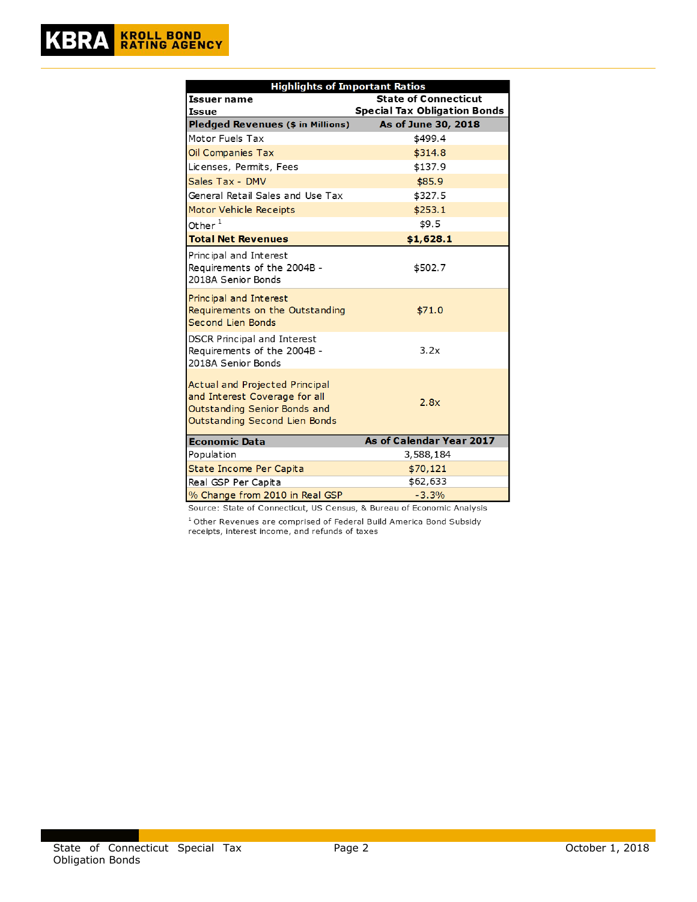| <b>Highlights of Important Ratios</b>                                                                                            |                                     |  |  |  |  |  |
|----------------------------------------------------------------------------------------------------------------------------------|-------------------------------------|--|--|--|--|--|
| Issuer name                                                                                                                      | <b>State of Connecticut</b>         |  |  |  |  |  |
| Issue                                                                                                                            | <b>Special Tax Obligation Bonds</b> |  |  |  |  |  |
| Pledged Revenues (\$ in Millions)                                                                                                | As of June 30, 2018                 |  |  |  |  |  |
| Motor Fuels Tax                                                                                                                  | \$499.4                             |  |  |  |  |  |
| Oil Companies Tax                                                                                                                | \$314.8                             |  |  |  |  |  |
| Licenses, Permits, Fees                                                                                                          | \$137.9                             |  |  |  |  |  |
| Sales Tax - DMV                                                                                                                  | \$85.9                              |  |  |  |  |  |
| General Retail Sales and Use Tax                                                                                                 | \$327.5                             |  |  |  |  |  |
| <b>Motor Vehicle Receipts</b>                                                                                                    | \$253.1                             |  |  |  |  |  |
| Other $^1$                                                                                                                       | \$9.5                               |  |  |  |  |  |
| <b>Total Net Revenues</b>                                                                                                        | \$1,628.1                           |  |  |  |  |  |
| Principal and Interest<br>Requirements of the 2004B -<br>2018A Senior Bonds                                                      | \$502.7                             |  |  |  |  |  |
| Principal and Interest<br>Requirements on the Outstanding<br><b>Second Lien Bonds</b>                                            | \$71.0                              |  |  |  |  |  |
| <b>DSCR Principal and Interest</b><br>Requirements of the 2004B -<br>2018A Senior Bonds                                          | 3.2x                                |  |  |  |  |  |
| Actual and Projected Principal<br>and Interest Coverage for all<br>Outstanding Senior Bonds and<br>Outstanding Second Lien Bonds | 2.8x                                |  |  |  |  |  |
| <b>Economic Data</b>                                                                                                             | As of Calendar Year 2017            |  |  |  |  |  |
| Population                                                                                                                       | 3,588,184                           |  |  |  |  |  |
| State Income Per Capita                                                                                                          | \$70,121                            |  |  |  |  |  |
| Real GSP Per Capita                                                                                                              | \$62,633                            |  |  |  |  |  |
| % Change from 2010 in Real GSP                                                                                                   | $-3.3%$                             |  |  |  |  |  |

Source: State of Connecticut, US Census, & Bureau of Economic Analysis

 $1$  Other Revenues are comprised of Federal Build America Bond Subsidy receipts, interest income, and refunds of taxes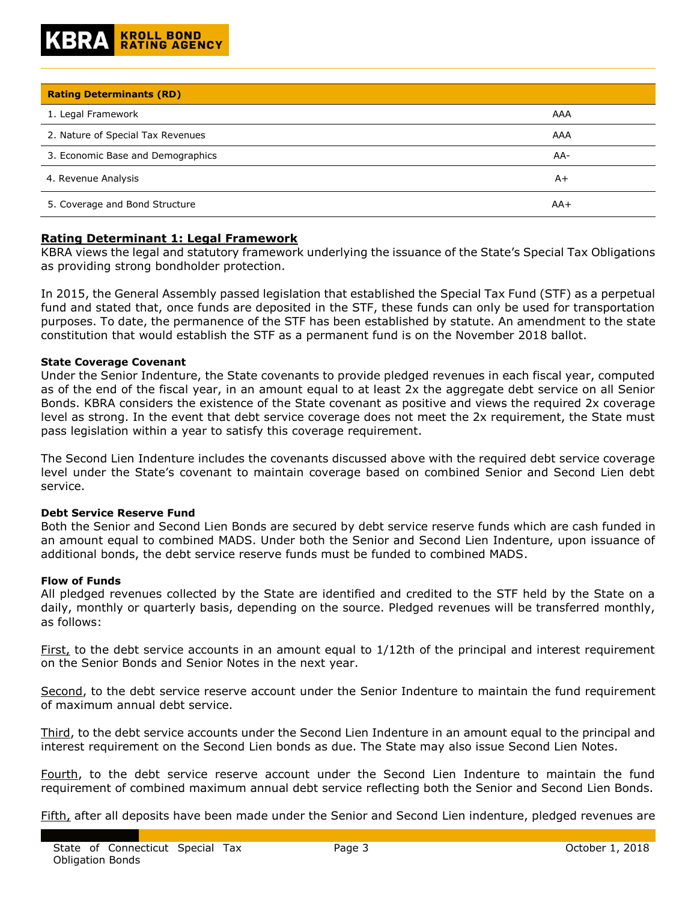| <b>Rating Determinants (RD)</b>   |       |
|-----------------------------------|-------|
| 1. Legal Framework                | AAA   |
| 2. Nature of Special Tax Revenues | AAA   |
| 3. Economic Base and Demographics | AA-   |
| 4. Revenue Analysis               | $A+$  |
| 5. Coverage and Bond Structure    | $AA+$ |

# **Rating Determinant 1: Legal Framework**

KBRA views the legal and statutory framework underlying the issuance of the State's Special Tax Obligations as providing strong bondholder protection.

In 2015, the General Assembly passed legislation that established the Special Tax Fund (STF) as a perpetual fund and stated that, once funds are deposited in the STF, these funds can only be used for transportation purposes. To date, the permanence of the STF has been established by statute. An amendment to the state constitution that would establish the STF as a permanent fund is on the November 2018 ballot.

# **State Coverage Covenant**

Under the Senior Indenture, the State covenants to provide pledged revenues in each fiscal year, computed as of the end of the fiscal year, in an amount equal to at least 2x the aggregate debt service on all Senior Bonds. KBRA considers the existence of the State covenant as positive and views the required 2x coverage level as strong. In the event that debt service coverage does not meet the 2x requirement, the State must pass legislation within a year to satisfy this coverage requirement.

The Second Lien Indenture includes the covenants discussed above with the required debt service coverage level under the State's covenant to maintain coverage based on combined Senior and Second Lien debt service.

# **Debt Service Reserve Fund**

Both the Senior and Second Lien Bonds are secured by debt service reserve funds which are cash funded in an amount equal to combined MADS. Under both the Senior and Second Lien Indenture, upon issuance of additional bonds, the debt service reserve funds must be funded to combined MADS.

# **Flow of Funds**

All pledged revenues collected by the State are identified and credited to the STF held by the State on a daily, monthly or quarterly basis, depending on the source. Pledged revenues will be transferred monthly, as follows:

First, to the debt service accounts in an amount equal to  $1/12$ th of the principal and interest requirement on the Senior Bonds and Senior Notes in the next year.

Second, to the debt service reserve account under the Senior Indenture to maintain the fund requirement of maximum annual debt service.

Third, to the debt service accounts under the Second Lien Indenture in an amount equal to the principal and interest requirement on the Second Lien bonds as due. The State may also issue Second Lien Notes.

Fourth, to the debt service reserve account under the Second Lien Indenture to maintain the fund requirement of combined maximum annual debt service reflecting both the Senior and Second Lien Bonds.

Fifth, after all deposits have been made under the Senior and Second Lien indenture, pledged revenues are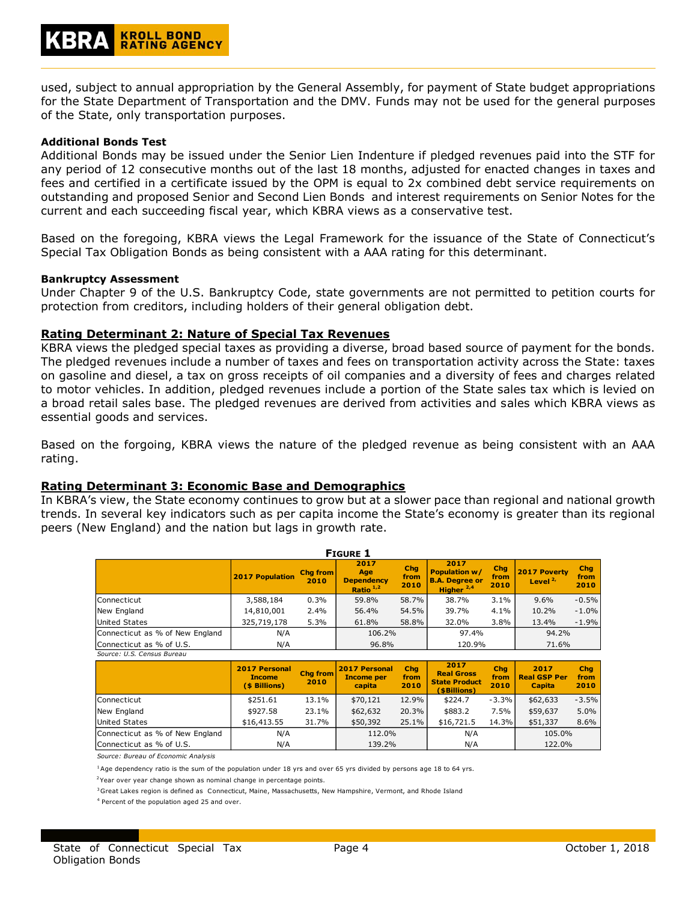used, subject to annual appropriation by the General Assembly, for payment of State budget appropriations for the State Department of Transportation and the DMV. Funds may not be used for the general purposes of the State, only transportation purposes.

# **Additional Bonds Test**

Additional Bonds may be issued under the Senior Lien Indenture if pledged revenues paid into the STF for any period of 12 consecutive months out of the last 18 months, adjusted for enacted changes in taxes and fees and certified in a certificate issued by the OPM is equal to 2x combined debt service requirements on outstanding and proposed Senior and Second Lien Bonds and interest requirements on Senior Notes for the current and each succeeding fiscal year, which KBRA views as a conservative test.

Based on the foregoing, KBRA views the Legal Framework for the issuance of the State of Connecticut's Special Tax Obligation Bonds as being consistent with a AAA rating for this determinant.

# **Bankruptcy Assessment**

Under Chapter 9 of the U.S. Bankruptcy Code, state governments are not permitted to petition courts for protection from creditors, including holders of their general obligation debt.

# **Rating Determinant 2: Nature of Special Tax Revenues**

KBRA views the pledged special taxes as providing a diverse, broad based source of payment for the bonds. The pledged revenues include a number of taxes and fees on transportation activity across the State: taxes on gasoline and diesel, a tax on gross receipts of oil companies and a diversity of fees and charges related to motor vehicles. In addition, pledged revenues include a portion of the State sales tax which is levied on a broad retail sales base. The pledged revenues are derived from activities and sales which KBRA views as essential goods and services.

Based on the forgoing, KBRA views the nature of the pledged revenue as being consistent with an AAA rating.

# **Rating Determinant 3: Economic Base and Demographics**

In KBRA's view, the State economy continues to grow but at a slower pace than regional and national growth trends. In several key indicators such as per capita income the State's economy is greater than its regional peers (New England) and the nation but lags in growth rate.

| <b>FIGURE 1</b>                 |                        |                         |                                                 |                     |                                                                                |                     |                             |                     |
|---------------------------------|------------------------|-------------------------|-------------------------------------------------|---------------------|--------------------------------------------------------------------------------|---------------------|-----------------------------|---------------------|
|                                 | <b>2017 Population</b> | <b>Chg from</b><br>2010 | 2017<br>Age<br><b>Dependency</b><br>Ratio $1,2$ | Chg<br>from<br>2010 | 2017<br><b>Population w/</b><br><b>B.A. Degree or</b><br>Higher <sup>2,4</sup> | Chg<br>from<br>2010 | 2017 Poverty<br>Level $2$ , | Chg<br>from<br>2010 |
| Connecticut                     | 3,588,184              | 0.3%                    | 59.8%                                           | 58.7%               | 38.7%                                                                          | 3.1%                | 9.6%                        | $-0.5%$             |
| New England                     | 14,810,001             | 2.4%                    | 56.4%                                           | 54.5%               | 39.7%                                                                          | 4.1%                | 10.2%                       | $-1.0\%$            |
| <b>United States</b>            | 325,719,178            | 5.3%                    | 61.8%                                           | 58.8%               | 32.0%                                                                          | 3.8%                | 13.4%                       | $-1.9%$             |
| Connecticut as % of New England | N/A                    |                         | 106.2%                                          |                     | 97.4%                                                                          |                     | 94.2%                       |                     |
| Connecticut as % of U.S.        | N/A                    |                         | 96.8%                                           |                     | 120.9%                                                                         |                     | 71.6%                       |                     |
| Source: U.S. Census Bureau      |                        |                         |                                                 |                     |                                                                                |                     |                             |                     |

|                                 | <b>2017 Personal</b><br><b>Income</b><br>(\$ Billions) | <b>Cha from</b><br>2010 | <b>2017 Personal</b><br><b>Income per</b><br>capita | Chg<br>from<br>2010 | 2017<br><b>Real Gross</b><br><b>State Product</b><br>(\$Billions) | Cha<br>from<br>2010 | 2017<br><b>Real GSP Per</b><br><b>Capita</b> | Chg<br>from<br>2010 |
|---------------------------------|--------------------------------------------------------|-------------------------|-----------------------------------------------------|---------------------|-------------------------------------------------------------------|---------------------|----------------------------------------------|---------------------|
| Connecticut                     | \$251.61                                               | 13.1%                   | \$70,121                                            | 12.9%               | \$224.7                                                           | $-3.3%$             | \$62,633                                     | $-3.5%$             |
| New England                     | \$927.58                                               | 23.1%                   | \$62,632                                            | 20.3%               | \$883.2                                                           | 7.5%                | \$59,637                                     | 5.0%                |
| United States                   | \$16,413.55                                            | 31.7%                   | \$50,392                                            | 25.1%               | \$16,721.5                                                        | 14.3%               | \$51,337                                     | 8.6%                |
| Connecticut as % of New England | N/A                                                    |                         | 112.0%                                              |                     | N/A                                                               |                     | 105.0%                                       |                     |
| Connecticut as % of U.S.        | N/A                                                    |                         | 139.2%                                              |                     | N/A                                                               |                     | 122.0%                                       |                     |

*Source: Bureau of Economic Analysis*

 $1A$ ge dependency ratio is the sum of the population under 18 yrs and over 65 yrs divided by persons age 18 to 64 yrs.

<sup>2</sup>Year over year change shown as nominal change in percentage points.

<sup>3</sup> Great Lakes region is defined as Connecticut, Maine, Massachusetts, New Hampshire, Vermont, and Rhode Island

4 Percent of the population aged 25 and over.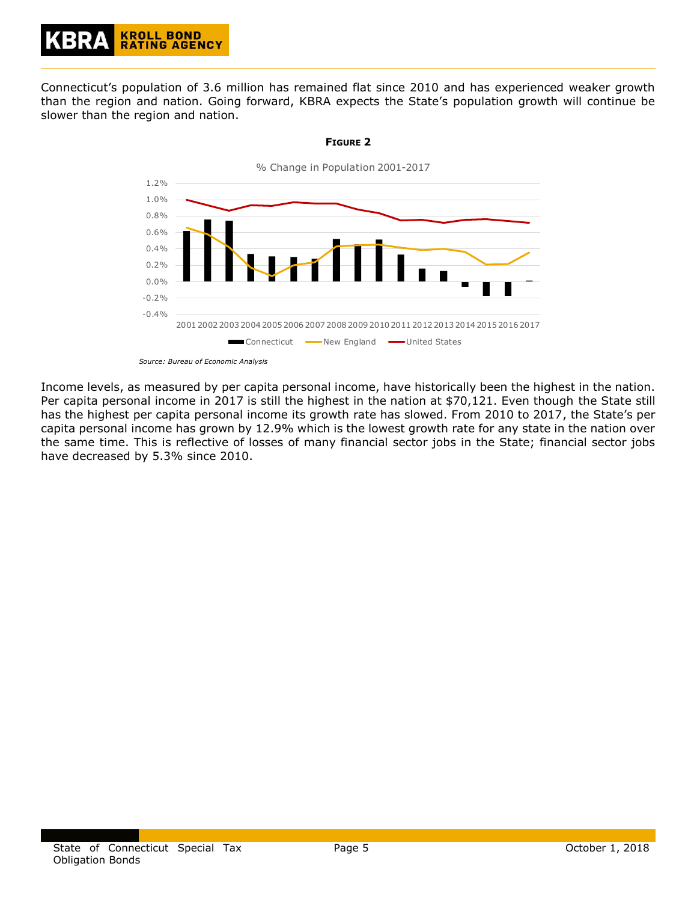Connecticut's population of 3.6 million has remained flat since 2010 and has experienced weaker growth than the region and nation. Going forward, KBRA expects the State's population growth will continue be slower than the region and nation.



# **FIGURE 2**

*Source: Bureau of Economic Analysis*

Income levels, as measured by per capita personal income, have historically been the highest in the nation. Per capita personal income in 2017 is still the highest in the nation at \$70,121. Even though the State still has the highest per capita personal income its growth rate has slowed. From 2010 to 2017, the State's per capita personal income has grown by 12.9% which is the lowest growth rate for any state in the nation over the same time. This is reflective of losses of many financial sector jobs in the State; financial sector jobs have decreased by 5.3% since 2010.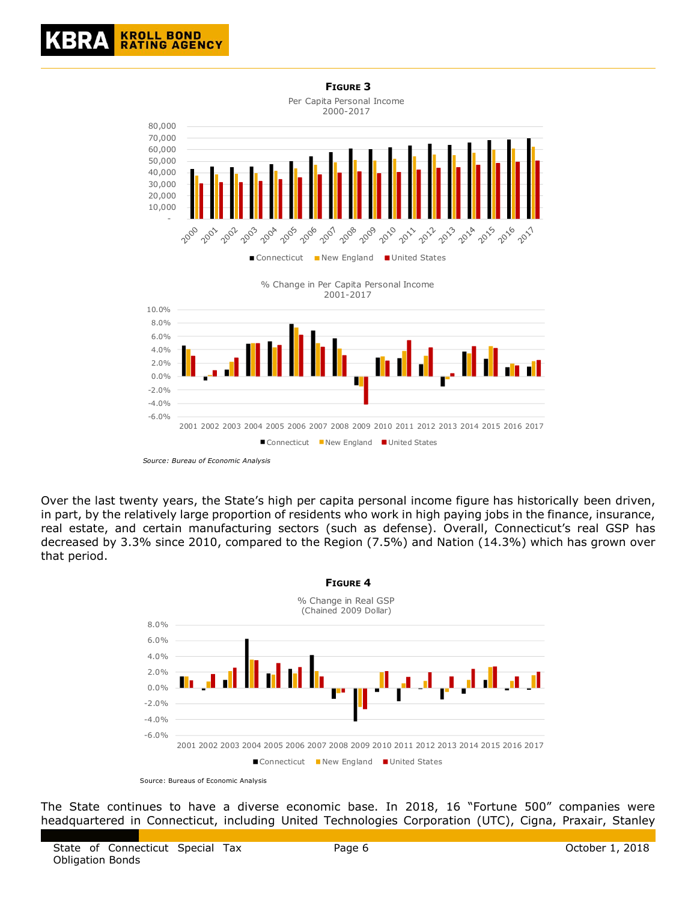

Over the last twenty years, the State's high per capita personal income figure has historically been driven, in part, by the relatively large proportion of residents who work in high paying jobs in the finance, insurance, real estate, and certain manufacturing sectors (such as defense). Overall, Connecticut's real GSP has decreased by 3.3% since 2010, compared to the Region (7.5%) and Nation (14.3%) which has grown over that period.



Source: Bureaus of Economic Analysis

The State continues to have a diverse economic base. In 2018, 16 "Fortune 500" companies were headquartered in Connecticut, including United Technologies Corporation (UTC), Cigna, Praxair, Stanley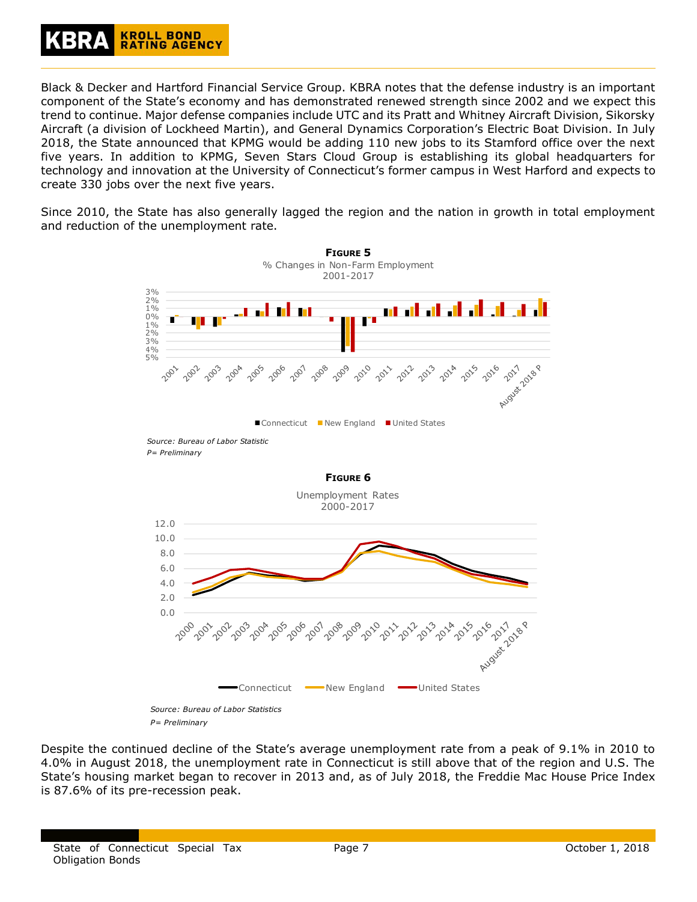

Black & Decker and Hartford Financial Service Group. KBRA notes that the defense industry is an important component of the State's economy and has demonstrated renewed strength since 2002 and we expect this trend to continue. Major defense companies include UTC and its Pratt and Whitney Aircraft Division, Sikorsky Aircraft (a division of Lockheed Martin), and General Dynamics Corporation's Electric Boat Division. In July 2018, the State announced that KPMG would be adding 110 new jobs to its Stamford office over the next five years. In addition to KPMG, Seven Stars Cloud Group is establishing its global headquarters for technology and innovation at the University of Connecticut's former campus in West Harford and expects to create 330 jobs over the next five years.

Since 2010, the State has also generally lagged the region and the nation in growth in total employment and reduction of the unemployment rate.



*P= Preliminary*

Despite the continued decline of the State's average unemployment rate from a peak of 9.1% in 2010 to 4.0% in August 2018, the unemployment rate in Connecticut is still above that of the region and U.S. The State's housing market began to recover in 2013 and, as of July 2018, the Freddie Mac House Price Index is 87.6% of its pre-recession peak.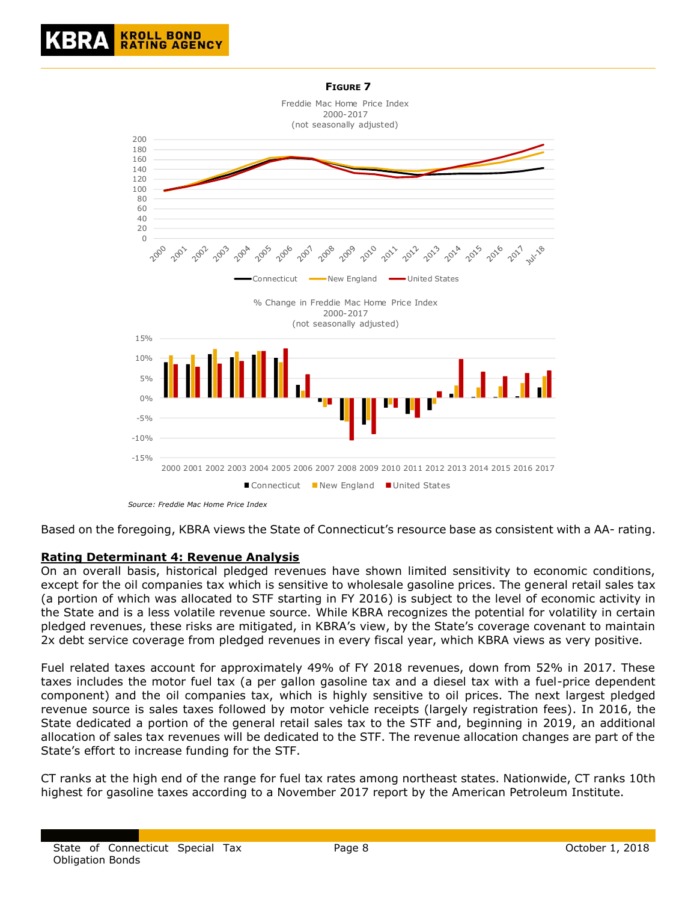

Based on the foregoing, KBRA views the State of Connecticut's resource base as consistent with a AA- rating.

# **Rating Determinant 4: Revenue Analysis**

On an overall basis, historical pledged revenues have shown limited sensitivity to economic conditions, except for the oil companies tax which is sensitive to wholesale gasoline prices. The general retail sales tax (a portion of which was allocated to STF starting in FY 2016) is subject to the level of economic activity in the State and is a less volatile revenue source. While KBRA recognizes the potential for volatility in certain pledged revenues, these risks are mitigated, in KBRA's view, by the State's coverage covenant to maintain 2x debt service coverage from pledged revenues in every fiscal year, which KBRA views as very positive.

Fuel related taxes account for approximately 49% of FY 2018 revenues, down from 52% in 2017. These taxes includes the motor fuel tax (a per gallon gasoline tax and a diesel tax with a fuel-price dependent component) and the oil companies tax, which is highly sensitive to oil prices. The next largest pledged revenue source is sales taxes followed by motor vehicle receipts (largely registration fees). In 2016, the State dedicated a portion of the general retail sales tax to the STF and, beginning in 2019, an additional allocation of sales tax revenues will be dedicated to the STF. The revenue allocation changes are part of the State's effort to increase funding for the STF.

CT ranks at the high end of the range for fuel tax rates among northeast states. Nationwide, CT ranks 10th highest for gasoline taxes according to a November 2017 report by the American Petroleum Institute.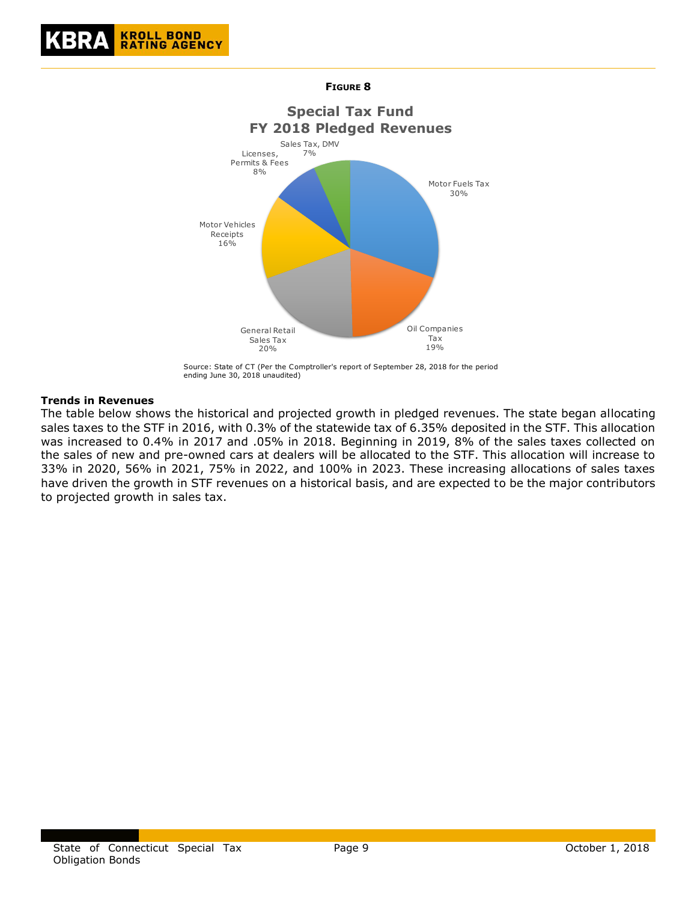





Source: State of CT (Per the Comptroller's report of September 28, 2018 for the period ending June 30, 2018 unaudited)

# **Trends in Revenues**

The table below shows the historical and projected growth in pledged revenues. The state began allocating sales taxes to the STF in 2016, with 0.3% of the statewide tax of 6.35% deposited in the STF. This allocation was increased to 0.4% in 2017 and .05% in 2018. Beginning in 2019, 8% of the sales taxes collected on the sales of new and pre-owned cars at dealers will be allocated to the STF. This allocation will increase to 33% in 2020, 56% in 2021, 75% in 2022, and 100% in 2023. These increasing allocations of sales taxes have driven the growth in STF revenues on a historical basis, and are expected to be the major contributors to projected growth in sales tax.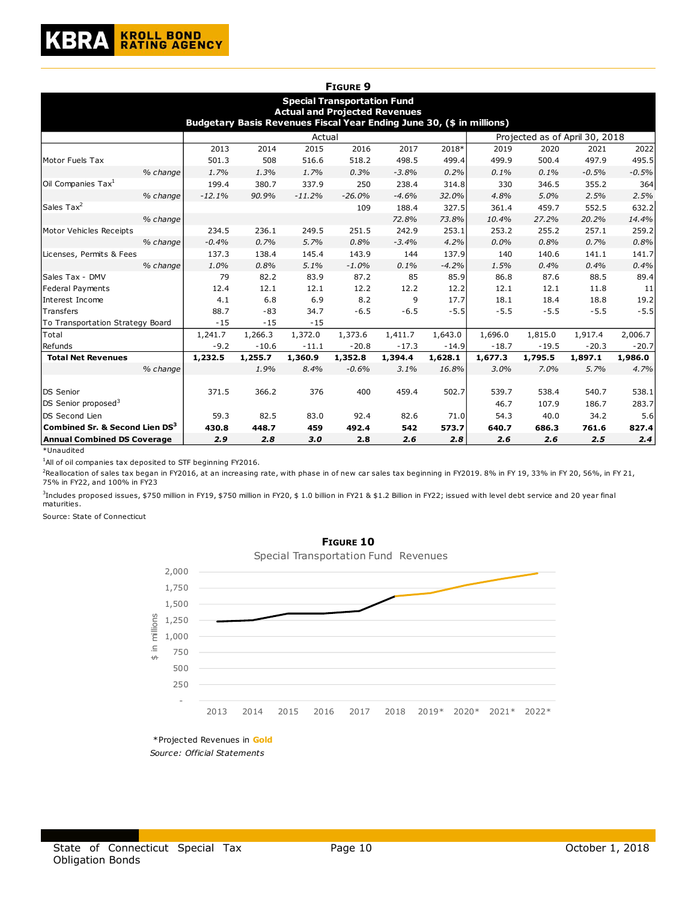

|                                    |          |                                                                       |          | <b>FIGURE 9</b>                                                            |         |         |         |                                |         |         |
|------------------------------------|----------|-----------------------------------------------------------------------|----------|----------------------------------------------------------------------------|---------|---------|---------|--------------------------------|---------|---------|
|                                    |          | Budgetary Basis Revenues Fiscal Year Ending June 30, (\$ in millions) |          | <b>Special Transportation Fund</b><br><b>Actual and Projected Revenues</b> |         |         |         |                                |         |         |
|                                    |          |                                                                       | Actual   |                                                                            |         |         |         | Projected as of April 30, 2018 |         |         |
|                                    | 2013     | 2014                                                                  | 2015     | 2016                                                                       | 2017    | 2018*   | 2019    | 2020                           | 2021    | 2022    |
| Motor Fuels Tax                    | 501.3    | 508                                                                   | 516.6    | 518.2                                                                      | 498.5   | 499.4   | 499.9   | 500.4                          | 497.9   | 495.5   |
| % change                           | 1.7%     | 1.3%                                                                  | 1.7%     | 0.3%                                                                       | $-3.8%$ | 0.2%    | 0.1%    | 0.1%                           | $-0.5%$ | $-0.5%$ |
| Oil Companies Tax <sup>1</sup>     | 199.4    | 380.7                                                                 | 337.9    | 250                                                                        | 238.4   | 314.8   | 330     | 346.5                          | 355.2   | 364     |
| % change                           | $-12.1%$ | 90.9%                                                                 | $-11.2%$ | $-26.0%$                                                                   | $-4.6%$ | 32.0%   | 4.8%    | 5.0%                           | 2.5%    | 2.5%    |
| Sales Tax <sup>2</sup>             |          |                                                                       |          | 109                                                                        | 188.4   | 327.5   | 361.4   | 459.7                          | 552.5   | 632.2   |
| % change                           |          |                                                                       |          |                                                                            | 72.8%   | 73.8%   | 10.4%   | 27.2%                          | 20.2%   | 14.4%   |
| Motor Vehicles Receipts            | 234.5    | 236.1                                                                 | 249.5    | 251.5                                                                      | 242.9   | 253.1   | 253.2   | 255.2                          | 257.1   | 259.2   |
| % change                           | $-0.4%$  | 0.7%                                                                  | 5.7%     | 0.8%                                                                       | $-3.4%$ | 4.2%    | 0.0%    | 0.8%                           | 0.7%    | 0.8%    |
| Licenses, Permits & Fees           | 137.3    | 138.4                                                                 | 145.4    | 143.9                                                                      | 144     | 137.9   | 140     | 140.6                          | 141.1   | 141.7   |
| % change                           | 1.0%     | 0.8%                                                                  | 5.1%     | $-1.0%$                                                                    | 0.1%    | $-4.2%$ | 1.5%    | 0.4%                           | 0.4%    | 0.4%    |
| lSales Tax - DMV                   | 79       | 82.2                                                                  | 83.9     | 87.2                                                                       | 85      | 85.9    | 86.8    | 87.6                           | 88.5    | 89.4    |
| Federal Payments                   | 12.4     | 12.1                                                                  | 12.1     | 12.2                                                                       | 12.2    | 12.2    | 12.1    | 12.1                           | 11.8    | 11      |
| Interest Income                    | 4.1      | 6.8                                                                   | 6.9      | 8.2                                                                        | 9       | 17.7    | 18.1    | 18.4                           | 18.8    | 19.2    |
| Transfers                          | 88.7     | $-83$                                                                 | 34.7     | $-6.5$                                                                     | $-6.5$  | $-5.5$  | $-5.5$  | $-5.5$                         | $-5.5$  | $-5.5$  |
| To Transportation Strategy Board   | $-15$    | $-15$                                                                 | $-15$    |                                                                            |         |         |         |                                |         |         |
| Total                              | 1,241.7  | 1,266.3                                                               | 1,372.0  | 1,373.6                                                                    | 1,411.7 | 1,643.0 | 1,696.0 | 1,815.0                        | 1,917.4 | 2,006.7 |
| Refunds                            | $-9.2$   | $-10.6$                                                               | $-11.1$  | $-20.8$                                                                    | $-17.3$ | $-14.9$ | $-18.7$ | $-19.5$                        | $-20.3$ | $-20.7$ |
| <b>Total Net Revenues</b>          | 1,232.5  | 1,255.7                                                               | 1,360.9  | 1,352.8                                                                    | 1,394.4 | 1,628.1 | 1,677.3 | 1,795.5                        | 1,897.1 | 1,986.0 |
| % change                           |          | 1.9%                                                                  | 8.4%     | $-0.6%$                                                                    | 3.1%    | 16.8%   | 3.0%    | 7.0%                           | 5.7%    | 4.7%    |
|                                    |          |                                                                       |          |                                                                            |         |         |         |                                |         |         |
| <b>DS Senior</b>                   | 371.5    | 366.2                                                                 | 376      | 400                                                                        | 459.4   | 502.7   | 539.7   | 538.4                          | 540.7   | 538.1   |
| DS Senior proposed <sup>3</sup>    |          |                                                                       |          |                                                                            |         |         | 46.7    | 107.9                          | 186.7   | 283.7   |
| DS Second Lien                     | 59.3     | 82.5                                                                  | 83.0     | 92.4                                                                       | 82.6    | 71.0    | 54.3    | 40.0                           | 34.2    | 5.6     |
| Combined Sr. & Second Lien $DS^3$  | 430.8    | 448.7                                                                 | 459      | 492.4                                                                      | 542     | 573.7   | 640.7   | 686.3                          | 761.6   | 827.4   |
| <b>Annual Combined DS Coverage</b> | 2.9      | 2.8                                                                   | 3.0      | 2.8                                                                        | 2.6     | 2.8     | 2.6     | 2.6                            | 2.5     | 2.4     |

\*Unaudited

<sup>1</sup>All of oil companies tax deposited to STF beginning FY2016.

<sup>2</sup>Reallocation of sales tax began in FY2016, at an increasing rate, with phase in of new car sales tax beginning in FY2019. 8% in FY 19, 33% in FY 20, 56%, in FY 21, 75% in FY22, and 100% in FY23

3 Includes proposed issues, \$750 million in FY19, \$750 million in FY20, \$ 1.0 billion in FY21 & \$1.2 Billion in FY22; issued with level debt service and 20 year final maturities.

Source: State of Connecticut





\* Pro jec t ed Revenues in **Gold**  *Sourc e: Of fic ial St at ement s*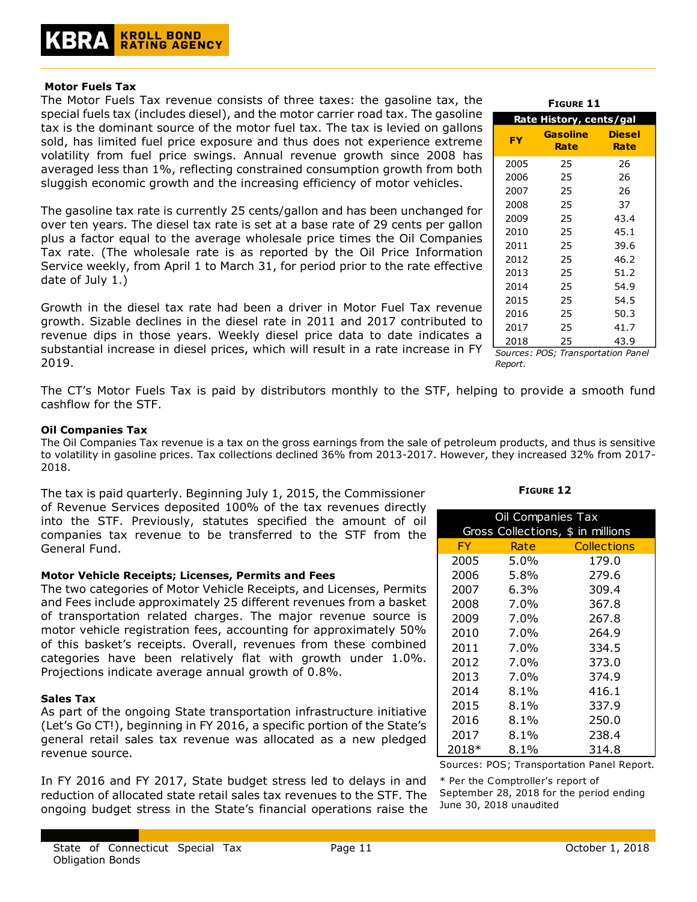# **Motor Fuels Tax**

The Motor Fuels Tax revenue consists of three taxes: the gasoline tax, the special fuels tax (includes diesel), and the motor carrier road tax. The gasoline tax is the dominant source of the motor fuel tax. The tax is levied on gallons sold, has limited fuel price exposure and thus does not experience extreme volatility from fuel price swings. Annual revenue growth since 2008 has averaged less than 1%, reflecting constrained consumption growth from both sluggish economic growth and the increasing efficiency of motor vehicles.

The gasoline tax rate is currently 25 cents/gallon and has been unchanged for over ten years. The diesel tax rate is set at a base rate of 29 cents per gallon plus a factor equal to the average wholesale price times the Oil Companies Tax rate. (The wholesale rate is as reported by the Oil Price Information Service weekly, from April 1 to March 31, for period prior to the rate effective date of July 1.)

Growth in the diesel tax rate had been a driver in Motor Fuel Tax revenue growth. Sizable declines in the diesel rate in 2011 and 2017 contributed to revenue dips in those years. Weekly diesel price data to date indicates a substantial increase in diesel prices, which will result in a rate increase in FY 2019.

## **FY Gasoline Rate Diesel Rate** 2005 25 26 2006 25 26 2007 25 26 2008 25 37 2009 25 43.4 2010 25 45.1 2011 25 39.6 2012 25 46.2 2013 25 51.2 2014 25 54.9 2015 25 54.5 2016 25 50.3 2017 25 41.7 2018 25 43.9 **F**IGURE 11 **Rate History, cents/gal**

*Sources: POS; Transportation Panel Report.*

The CT's Motor Fuels Tax is paid by distributors monthly to the STF, helping to provide a smooth fund cashflow for the STF.

# **Oil Companies Tax**

The Oil Companies Tax revenue is a tax on the gross earnings from the sale of petroleum products, and thus is sensitive to volatility in gasoline prices. Tax collections declined 36% from 2013-2017. However, they increased 32% from 2017- 2018.

The tax is paid quarterly. Beginning July 1, 2015, the Commissioner of Revenue Services deposited 100% of the tax revenues directly into the STF. Previously, statutes specified the amount of oil companies tax revenue to be transferred to the STF from the General Fund.

# **Motor Vehicle Receipts; Licenses, Permits and Fees**

The two categories of Motor Vehicle Receipts, and Licenses, Permits and Fees include approximately 25 different revenues from a basket of transportation related charges. The major revenue source is motor vehicle registration fees, accounting for approximately 50% of this basket's receipts. Overall, revenues from these combined categories have been relatively flat with growth under 1.0%. Projections indicate average annual growth of 0.8%.

# **Sales Tax**

As part of the ongoing State transportation infrastructure initiative (Let's Go CT!), beginning in FY 2016, a specific portion of the State's general retail sales tax revenue was allocated as a new pledged revenue source.

In FY 2016 and FY 2017, State budget stress led to delays in and reduction of allocated state retail sales tax revenues to the STF. The ongoing budget stress in the State's financial operations raise the **FIGURE 12**

| Oil Companies Tax<br>Gross Collections, \$ in millions |         |             |  |  |  |  |
|--------------------------------------------------------|---------|-------------|--|--|--|--|
| FY.                                                    | Rate    | Collections |  |  |  |  |
|                                                        |         |             |  |  |  |  |
| 2005                                                   | $5.0\%$ | 179.0       |  |  |  |  |
| 2006                                                   | 5.8%    | 279.6       |  |  |  |  |
| 2007                                                   | 6.3%    | 309.4       |  |  |  |  |
| 2008                                                   | $7.0\%$ | 367.8       |  |  |  |  |
| 2009                                                   | $7.0\%$ | 267.8       |  |  |  |  |
| 2010                                                   | $7.0\%$ | 264.9       |  |  |  |  |
| 2011                                                   | 7.0%    | 334.5       |  |  |  |  |
| 2012                                                   | 7.0%    | 373.0       |  |  |  |  |
| 2013                                                   | 7.0%    | 374.9       |  |  |  |  |
| 2014                                                   | $8.1\%$ | 416.1       |  |  |  |  |
| 2015                                                   | $8.1\%$ | 337.9       |  |  |  |  |
| 2016                                                   | $8.1\%$ | 250.0       |  |  |  |  |
| 2017                                                   | $8.1\%$ | 238.4       |  |  |  |  |
| 2018*                                                  | $8.1\%$ | 314.8       |  |  |  |  |

Sources: POS; Transportation Panel Report.

\* Per the Comptroller's report of September 28, 2018 for the period ending June 30, 2018 unaudited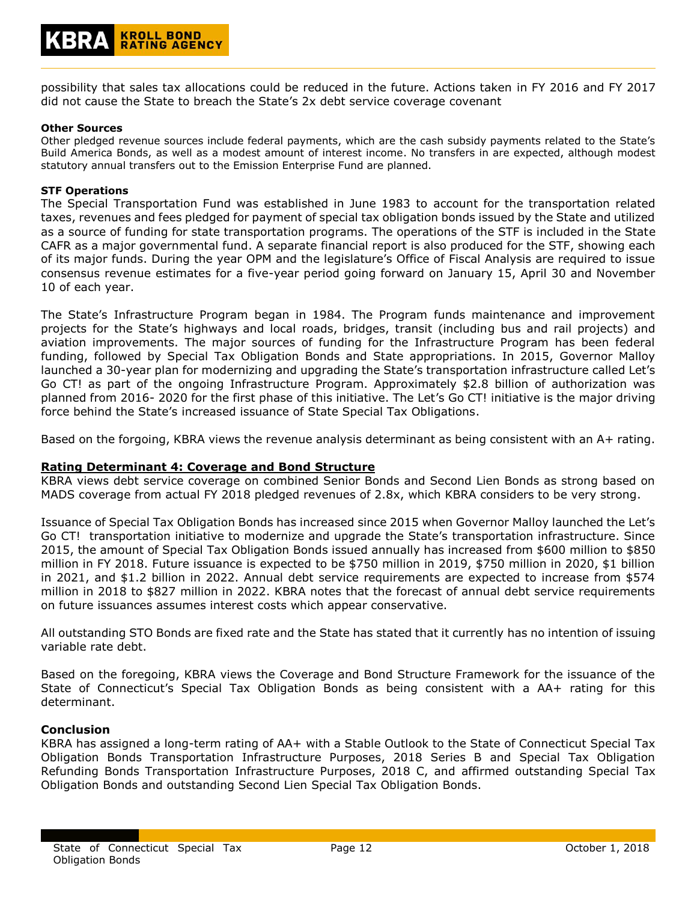

possibility that sales tax allocations could be reduced in the future. Actions taken in FY 2016 and FY 2017 did not cause the State to breach the State's 2x debt service coverage covenant

## **Other Sources**

Other pledged revenue sources include federal payments, which are the cash subsidy payments related to the State's Build America Bonds, as well as a modest amount of interest income. No transfers in are expected, although modest statutory annual transfers out to the Emission Enterprise Fund are planned.

## **STF Operations**

The Special Transportation Fund was established in June 1983 to account for the transportation related taxes, revenues and fees pledged for payment of special tax obligation bonds issued by the State and utilized as a source of funding for state transportation programs. The operations of the STF is included in the State CAFR as a major governmental fund. A separate financial report is also produced for the STF, showing each of its major funds. During the year OPM and the legislature's Office of Fiscal Analysis are required to issue consensus revenue estimates for a five-year period going forward on January 15, April 30 and November 10 of each year.

The State's Infrastructure Program began in 1984. The Program funds maintenance and improvement projects for the State's highways and local roads, bridges, transit (including bus and rail projects) and aviation improvements. The major sources of funding for the Infrastructure Program has been federal funding, followed by Special Tax Obligation Bonds and State appropriations. In 2015, Governor Malloy launched a 30-year plan for modernizing and upgrading the State's transportation infrastructure called Let's Go CT! as part of the ongoing Infrastructure Program. Approximately \$2.8 billion of authorization was planned from 2016- 2020 for the first phase of this initiative. The Let's Go CT! initiative is the major driving force behind the State's increased issuance of State Special Tax Obligations.

Based on the forgoing, KBRA views the revenue analysis determinant as being consistent with an A+ rating.

# **Rating Determinant 4: Coverage and Bond Structure**

KBRA views debt service coverage on combined Senior Bonds and Second Lien Bonds as strong based on MADS coverage from actual FY 2018 pledged revenues of 2.8x, which KBRA considers to be very strong.

Issuance of Special Tax Obligation Bonds has increased since 2015 when Governor Malloy launched the Let's Go CT! transportation initiative to modernize and upgrade the State's transportation infrastructure. Since 2015, the amount of Special Tax Obligation Bonds issued annually has increased from \$600 million to \$850 million in FY 2018. Future issuance is expected to be \$750 million in 2019, \$750 million in 2020, \$1 billion in 2021, and \$1.2 billion in 2022. Annual debt service requirements are expected to increase from \$574 million in 2018 to \$827 million in 2022. KBRA notes that the forecast of annual debt service requirements on future issuances assumes interest costs which appear conservative.

All outstanding STO Bonds are fixed rate and the State has stated that it currently has no intention of issuing variable rate debt.

Based on the foregoing, KBRA views the Coverage and Bond Structure Framework for the issuance of the State of Connecticut's Special Tax Obligation Bonds as being consistent with a AA+ rating for this determinant.

# **Conclusion**

KBRA has assigned a long-term rating of AA+ with a Stable Outlook to the State of Connecticut Special Tax Obligation Bonds Transportation Infrastructure Purposes, 2018 Series B and Special Tax Obligation Refunding Bonds Transportation Infrastructure Purposes, 2018 C, and affirmed outstanding Special Tax Obligation Bonds and outstanding Second Lien Special Tax Obligation Bonds.